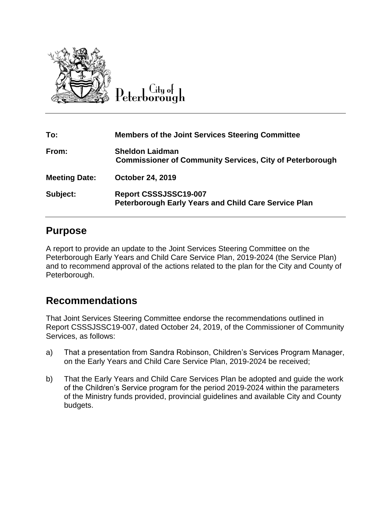

 $C$ ity of Peterborough

| To:                  | <b>Members of the Joint Services Steering Committee</b>                                   |
|----------------------|-------------------------------------------------------------------------------------------|
| From:                | <b>Sheldon Laidman</b><br><b>Commissioner of Community Services, City of Peterborough</b> |
| <b>Meeting Date:</b> | <b>October 24, 2019</b>                                                                   |
| Subject:             | Report CSSSJSSC19-007<br><b>Peterborough Early Years and Child Care Service Plan</b>      |

#### **Purpose**

A report to provide an update to the Joint Services Steering Committee on the Peterborough Early Years and Child Care Service Plan, 2019-2024 (the Service Plan) and to recommend approval of the actions related to the plan for the City and County of Peterborough.

### **Recommendations**

That Joint Services Steering Committee endorse the recommendations outlined in Report CSSSJSSC19-007, dated October 24, 2019, of the Commissioner of Community Services, as follows:

- a) That a presentation from Sandra Robinson, Children's Services Program Manager, on the Early Years and Child Care Service Plan, 2019-2024 be received;
- b) That the Early Years and Child Care Services Plan be adopted and guide the work of the Children's Service program for the period 2019-2024 within the parameters of the Ministry funds provided, provincial guidelines and available City and County budgets.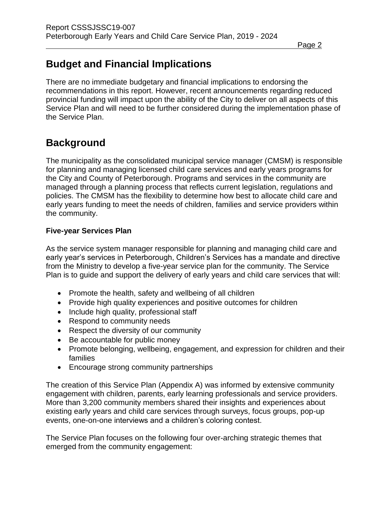# **Budget and Financial Implications**

There are no immediate budgetary and financial implications to endorsing the recommendations in this report. However, recent announcements regarding reduced provincial funding will impact upon the ability of the City to deliver on all aspects of this Service Plan and will need to be further considered during the implementation phase of the Service Plan.

# **Background**

The municipality as the consolidated municipal service manager (CMSM) is responsible for planning and managing licensed child care services and early years programs for the City and County of Peterborough. Programs and services in the community are managed through a planning process that reflects current legislation, regulations and policies. The CMSM has the flexibility to determine how best to allocate child care and early years funding to meet the needs of children, families and service providers within the community.

#### **Five-year Services Plan**

As the service system manager responsible for planning and managing child care and early year's services in Peterborough, Children's Services has a mandate and directive from the Ministry to develop a five-year service plan for the community. The Service Plan is to guide and support the delivery of early years and child care services that will:

- Promote the health, safety and wellbeing of all children
- Provide high quality experiences and positive outcomes for children
- Include high quality, professional staff
- Respond to community needs
- Respect the diversity of our community
- Be accountable for public money
- Promote belonging, wellbeing, engagement, and expression for children and their families
- Encourage strong community partnerships

The creation of this Service Plan (Appendix A) was informed by extensive community engagement with children, parents, early learning professionals and service providers. More than 3,200 community members shared their insights and experiences about existing early years and child care services through surveys, focus groups, pop-up events, one-on-one interviews and a children's coloring contest.

The Service Plan focuses on the following four over-arching strategic themes that emerged from the community engagement: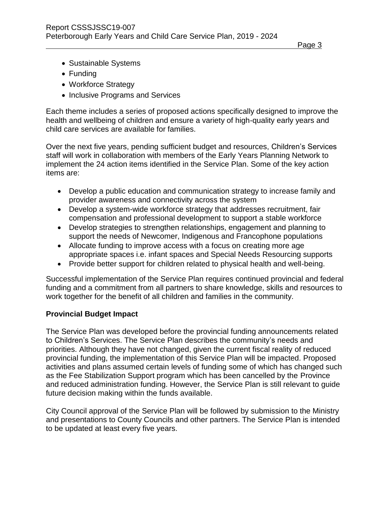Page 3

- Sustainable Systems
- Funding
- Workforce Strategy
- Inclusive Programs and Services

Each theme includes a series of proposed actions specifically designed to improve the health and wellbeing of children and ensure a variety of high-quality early years and child care services are available for families.

Over the next five years, pending sufficient budget and resources, Children's Services staff will work in collaboration with members of the Early Years Planning Network to implement the 24 action items identified in the Service Plan. Some of the key action items are:

- Develop a public education and communication strategy to increase family and provider awareness and connectivity across the system
- Develop a system-wide workforce strategy that addresses recruitment, fair compensation and professional development to support a stable workforce
- Develop strategies to strengthen relationships, engagement and planning to support the needs of Newcomer, Indigenous and Francophone populations
- Allocate funding to improve access with a focus on creating more age appropriate spaces i.e. infant spaces and Special Needs Resourcing supports
- Provide better support for children related to physical health and well-being.

Successful implementation of the Service Plan requires continued provincial and federal funding and a commitment from all partners to share knowledge, skills and resources to work together for the benefit of all children and families in the community.

#### **Provincial Budget Impact**

The Service Plan was developed before the provincial funding announcements related to Children's Services. The Service Plan describes the community's needs and priorities. Although they have not changed, given the current fiscal reality of reduced provincial funding, the implementation of this Service Plan will be impacted. Proposed activities and plans assumed certain levels of funding some of which has changed such as the Fee Stabilization Support program which has been cancelled by the Province and reduced administration funding. However, the Service Plan is still relevant to guide future decision making within the funds available.

City Council approval of the Service Plan will be followed by submission to the Ministry and presentations to County Councils and other partners. The Service Plan is intended to be updated at least every five years.